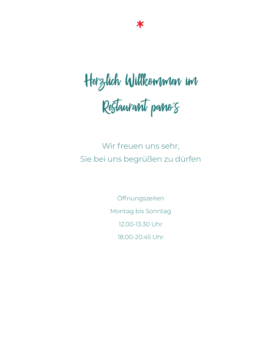# Herzlich Willkommen im Restaurant pano´s

Wir freuen uns sehr, Sie bei uns begrüßen zu dürfen

> Öffnungszeiten Montag bis Sonntag 12.00-13.30 Uhr 18.00-20.45 Uhr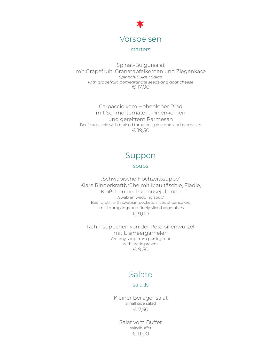

#### starters

Spinat-Bulgursalat mit Grapefruit, Granatapfelkernen und Ziegenkäse *Spinach-Bulgur Salad with grapefruit, pomegranate seeds and goat cheese*  $\epsilon$  17,00

Carpaccio vom Hohenloher Rind mit Schmortomaten, Pinienkernen und gereiftem Parmesan Beef carpaccio with braised tomatoes, pine nuts and parmesan € 19,50

# Suppen

#### soups

"Schwäbische Hochzeitssuppe" Klare Rinderkraftbrühe mit Maultäschle, Flädle, Klößchen und Gemüsejulienne "Swabian wedding soup" Beef broth with swabian pockets, slices of pancakes, small dumplings and finely sliced vegetables € 9,00

Rahmsüppchen von der Petersilienwurzel mit Eismeergarnelen Creamy soup from parsley root with arctic prawns € 9,50

# Salate

#### salads

Kleiner Beilagensalat Small side salad € 7,50

Salat vom Buffet saladbuffet € 11,00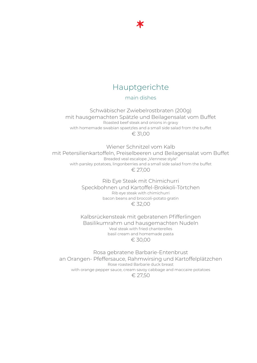

\*\*

main dishes

Schwäbischer Zwiebelrostbraten (200g) mit hausgemachten Spätzle und Beilagensalat vom Buffet Roasted beef steak and onions in gravy with homemade swabian spaetzles and a small side salad from the buffet € 31,00

Wiener Schnitzel vom Kalb mit Petersilienkartoffeln, Preiselbeeren und Beilagensalat vom Buffet Breaded veal escalope "Viennese style" with parsley potatoes, lingonberries and a small side salad from the buffet € 27,00

> Rib Eye Steak mit Chimichurri Speckbohnen und Kartoffel-Brokkoli-Törtchen Rib eye steak with chimichurri bacon beans and broccoli-potato gratin  $€ 32,00$

Kalbsrückensteak mit gebratenen Pfifferlingen Basilikumrahm und hausgemachten Nudeln Veal steak with fried chanterelles basil cream and homemade pasta € 30,00

Rosa gebratene Barbarie-Entenbrust an Orangen- Pfeffersauce, Rahmwirsing und Kartoffelplätzchen Rose roasted Barbarie duck breast with orange pepper sauce, cream savoy cabbage and maccaire potatoes € 27,50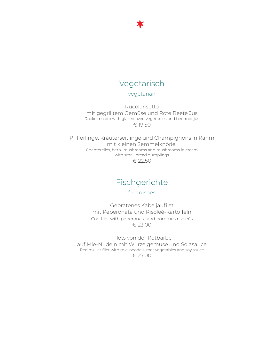# Vegetarisch

\*\*

#### vegetarian

Rucolarisotto mit gegrilltem Gemüse und Rote Beete Jus Rocket risotto with glazed oven vegetables and beetroot jus € 19,50

Pfifferlinge, Kräuterseitlinge und Champignons in Rahm mit kleinen Semmelknödel Chanterelles, herb- mushrooms and mushrooms in cream with small bread dumplings € 22,50

# Fischgerichte

fish dishes

Gebratenes Kabeljaufilet mit Peperonata und Risoleé-Kartoffeln Cod filet with peperonata and pommes risoleés € 23,00

Filets von der Rotbarbe auf Mie-Nudeln mit Wurzelgemüse und Sojasauce Red mullet filet with mie-noodels, root vegetables and soy sauce € 27,00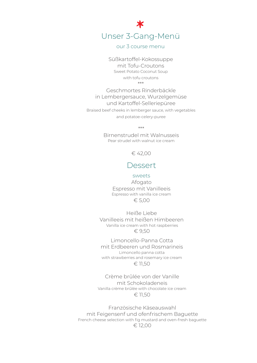Unser 3-Gang-Menü **T**<br>Jal<br><sup>burs</sup>

our 3 course menu

Süßkartoffel-Kokossuppe mit Tofu-Croutons Sweet Potato Coconut Soup with tofu croutons \*\*\*

Geschmortes Rinderbäckle in Lembergersauce, Wurzelgemüse und Kartoffel-Selleriepüree Braised beef cheeks in lemberger sauce, with vegetables and potatoe-celery-puree

\*\*\*

Birnenstrudel mit Walnusseis Pear strudel with walnut ice cream

€ 42,00

### Dessert

#### sweets

Afogato Espresso mit Vanilleeis Espresso with vanilla ice cream € 5,00

Heiße Liebe Vanilleeis mit heißen Himbeeren Vanilla ice cream with hot raspberries € 9,50

Limoncello-Panna Cotta mit Erdbeeren und Rosmarineis Limoncello panna cotta with strawberries and rosemary ice cream € 11,50

Crème brûlée von der Vanille mit Schokoladeneis Vanilla crème brûlée with chocolate ice cream € 11,50

Französische Käseauswahl mit Feigensenf und ofenfrischem Baguette French cheese selection with fig mustard and oven-fresh baguette € 12,00